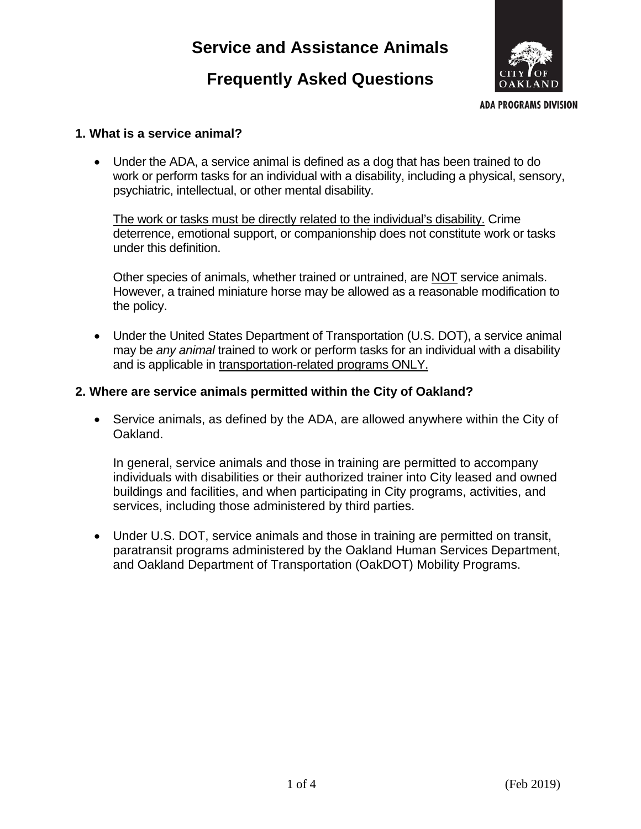# **Service and Assistance Animals**

# **Frequently Asked Questions**



**ADA PROGRAMS DIVISION** 

#### **1. What is a service animal?**

• Under the ADA, a service animal is defined as a dog that has been trained to do work or perform tasks for an individual with a disability, including a physical, sensory, psychiatric, intellectual, or other mental disability.

The work or tasks must be directly related to the individual's disability. Crime deterrence, emotional support, or companionship does not constitute work or tasks under this definition.

Other species of animals, whether trained or untrained, are NOT service animals. However, a trained miniature horse may be allowed as a reasonable modification to the policy.

• Under the United States Department of Transportation (U.S. DOT), a service animal may be *any animal* trained to work or perform tasks for an individual with a disability and is applicable in transportation-related programs ONLY.

## **2. Where are service animals permitted within the City of Oakland?**

• Service animals, as defined by the ADA, are allowed anywhere within the City of Oakland.

In general, service animals and those in training are permitted to accompany individuals with disabilities or their authorized trainer into City leased and owned buildings and facilities, and when participating in City programs, activities, and services, including those administered by third parties.

• Under U.S. DOT, service animals and those in training are permitted on transit, paratransit programs administered by the Oakland Human Services Department, and Oakland Department of Transportation (OakDOT) Mobility Programs.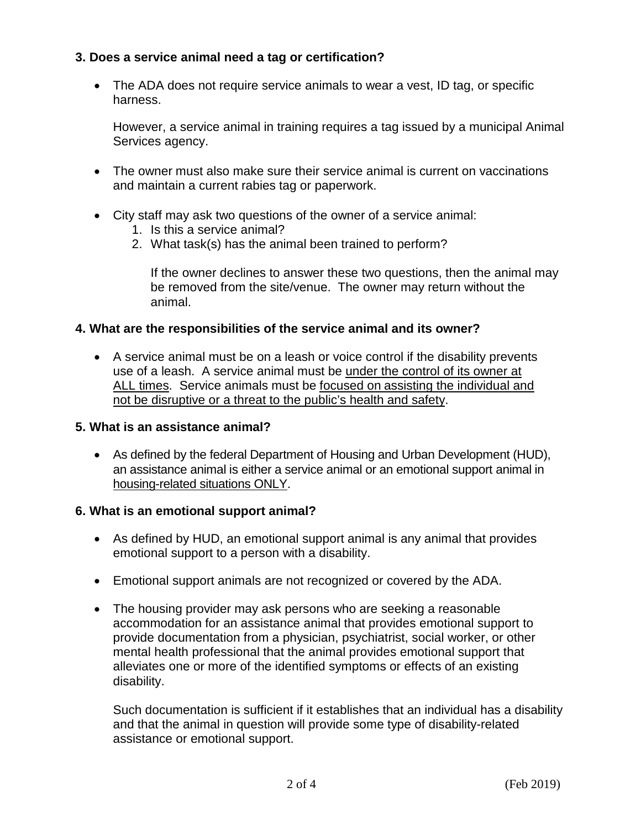## **3. Does a service animal need a tag or certification?**

• The ADA does not require service animals to wear a vest, ID tag, or specific harness.

However, a service animal in training requires a tag issued by a municipal Animal Services agency.

- The owner must also make sure their service animal is current on vaccinations and maintain a current rabies tag or paperwork.
- City staff may ask two questions of the owner of a service animal:
	- 1. Is this a service animal?
	- 2. What task(s) has the animal been trained to perform?

If the owner declines to answer these two questions, then the animal may be removed from the site/venue. The owner may return without the animal.

## **4. What are the responsibilities of the service animal and its owner?**

• A service animal must be on a leash or voice control if the disability prevents use of a leash. A service animal must be under the control of its owner at ALL times. Service animals must be focused on assisting the individual and not be disruptive or a threat to the public's health and safety.

#### **5. What is an assistance animal?**

• As defined by the federal Department of Housing and Urban Development (HUD), an assistance animal is either a service animal or an emotional support animal in housing-related situations ONLY.

#### **6. What is an emotional support animal?**

- As defined by HUD, an emotional support animal is any animal that provides emotional support to a person with a disability.
- Emotional support animals are not recognized or covered by the ADA.
- The housing provider may ask persons who are seeking a reasonable accommodation for an assistance animal that provides emotional support to provide documentation from a physician, psychiatrist, social worker, or other mental health professional that the animal provides emotional support that alleviates one or more of the identified symptoms or effects of an existing disability.

Such documentation is sufficient if it establishes that an individual has a disability and that the animal in question will provide some type of disability-related assistance or emotional support.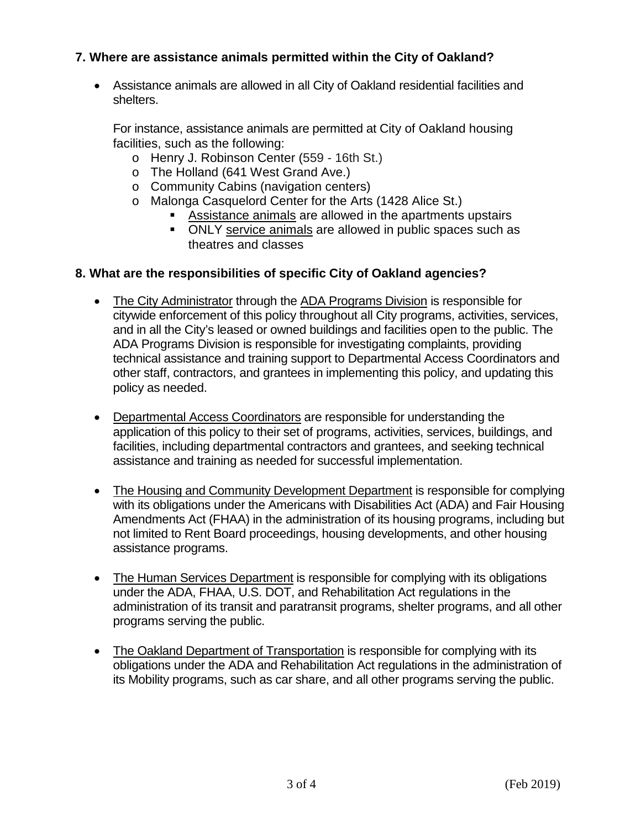## **7. Where are assistance animals permitted within the City of Oakland?**

• Assistance animals are allowed in all City of Oakland residential facilities and shelters.

For instance, assistance animals are permitted at City of Oakland housing facilities, such as the following:

- o Henry J. Robinson Center (559 16th St.)
- o The Holland (641 West Grand Ave.)
- o Community Cabins (navigation centers)
- o Malonga Casquelord Center for the Arts (1428 Alice St.)
	- Assistance animals are allowed in the apartments upstairs
	- ONLY service animals are allowed in public spaces such as theatres and classes

#### **8. What are the responsibilities of specific City of Oakland agencies?**

- The City Administrator through the ADA Programs Division is responsible for citywide enforcement of this policy throughout all City programs, activities, services, and in all the City's leased or owned buildings and facilities open to the public. The ADA Programs Division is responsible for investigating complaints, providing technical assistance and training support to Departmental Access Coordinators and other staff, contractors, and grantees in implementing this policy, and updating this policy as needed.
- Departmental Access Coordinators are responsible for understanding the application of this policy to their set of programs, activities, services, buildings, and facilities, including departmental contractors and grantees, and seeking technical assistance and training as needed for successful implementation.
- The Housing and Community Development Department is responsible for complying with its obligations under the Americans with Disabilities Act (ADA) and Fair Housing Amendments Act (FHAA) in the administration of its housing programs, including but not limited to Rent Board proceedings, housing developments, and other housing assistance programs.
- The Human Services Department is responsible for complying with its obligations under the ADA, FHAA, U.S. DOT, and Rehabilitation Act regulations in the administration of its transit and paratransit programs, shelter programs, and all other programs serving the public.
- The Oakland Department of Transportation is responsible for complying with its obligations under the ADA and Rehabilitation Act regulations in the administration of its Mobility programs, such as car share, and all other programs serving the public.